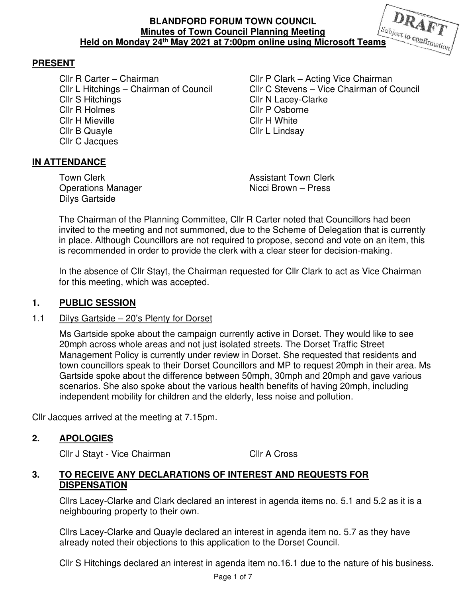# **PRESENT**

Cllr R Carter – Chairman Cllr P Clark – Acting Vice Chairman<br>Cllr L Hitchings – Chairman of Council Cllr C Stevens – Vice Chairman of C Cllr S Hitchings Cllr N Lacey-Clarke **Cllr R Holmes Cllr P Osborne** Cllr H Mieville **Cllr H White** Cllr B Quayle Cllr L Lindsay Cllr C Jacques

Cllr C Stevens – Vice Chairman of Council

## **IN ATTENDANCE**

Dilys Gartside

Town Clerk **Assistant Town Clerk** Operations Manager Nicci Brown – Press

The Chairman of the Planning Committee, Cllr R Carter noted that Councillors had been invited to the meeting and not summoned, due to the Scheme of Delegation that is currently in place. Although Councillors are not required to propose, second and vote on an item, this is recommended in order to provide the clerk with a clear steer for decision-making.

In the absence of Cllr Stayt, the Chairman requested for Cllr Clark to act as Vice Chairman for this meeting, which was accepted.

#### **1. PUBLIC SESSION**

#### 1.1 Dilys Gartside – 20's Plenty for Dorset

 Ms Gartside spoke about the campaign currently active in Dorset. They would like to see 20mph across whole areas and not just isolated streets. The Dorset Traffic Street Management Policy is currently under review in Dorset. She requested that residents and town councillors speak to their Dorset Councillors and MP to request 20mph in their area. Ms Gartside spoke about the difference between 50mph, 30mph and 20mph and gave various scenarios. She also spoke about the various health benefits of having 20mph, including independent mobility for children and the elderly, less noise and pollution.

Cllr Jacques arrived at the meeting at 7.15pm.

#### **2. APOLOGIES**

Cllr J Stayt - Vice Chairman Cllr A Cross

#### **3. TO RECEIVE ANY DECLARATIONS OF INTEREST AND REQUESTS FOR DISPENSATION**

Cllrs Lacey-Clarke and Clark declared an interest in agenda items no. 5.1 and 5.2 as it is a neighbouring property to their own.

Cllrs Lacey-Clarke and Quayle declared an interest in agenda item no. 5.7 as they have already noted their objections to this application to the Dorset Council.

Cllr S Hitchings declared an interest in agenda item no.16.1 due to the nature of his business.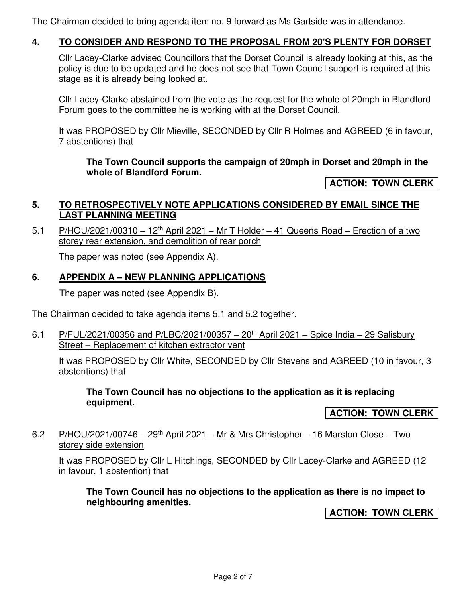The Chairman decided to bring agenda item no. 9 forward as Ms Gartside was in attendance.

# **4. TO CONSIDER AND RESPOND TO THE PROPOSAL FROM 20'S PLENTY FOR DORSET**

Cllr Lacey-Clarke advised Councillors that the Dorset Council is already looking at this, as the policy is due to be updated and he does not see that Town Council support is required at this stage as it is already being looked at.

Cllr Lacey-Clarke abstained from the vote as the request for the whole of 20mph in Blandford Forum goes to the committee he is working with at the Dorset Council.

It was PROPOSED by Cllr Mieville, SECONDED by Cllr R Holmes and AGREED (6 in favour, 7 abstentions) that

#### **The Town Council supports the campaign of 20mph in Dorset and 20mph in the whole of Blandford Forum.**

**ACTION: TOWN CLERK** 

#### **5. TO RETROSPECTIVELY NOTE APPLICATIONS CONSIDERED BY EMAIL SINCE THE LAST PLANNING MEETING**

5.1 P/HOU/2021/00310 – 12<sup>th</sup> April 2021 – Mr T Holder – 41 Queens Road – Erection of a two storey rear extension, and demolition of rear porch

The paper was noted (see Appendix A).

### **6. APPENDIX A – NEW PLANNING APPLICATIONS**

The paper was noted (see Appendix B).

The Chairman decided to take agenda items 5.1 and 5.2 together.

6.1 P/FUL/2021/00356 and P/LBC/2021/00357 – 20<sup>th</sup> April 2021 – Spice India – 29 Salisbury Street – Replacement of kitchen extractor vent

It was PROPOSED by Cllr White, SECONDED by Cllr Stevens and AGREED (10 in favour, 3 abstentions) that

**The Town Council has no objections to the application as it is replacing equipment.** 

**ACTION: TOWN CLERK** 

6.2 P/HOU/2021/00746 – 29<sup>th</sup> April 2021 – Mr & Mrs Christopher – 16 Marston Close – Two storey side extension

It was PROPOSED by Cllr L Hitchings, SECONDED by Cllr Lacey-Clarke and AGREED (12 in favour, 1 abstention) that

**The Town Council has no objections to the application as there is no impact to neighbouring amenities.** 

**ACTION: TOWN CLERK**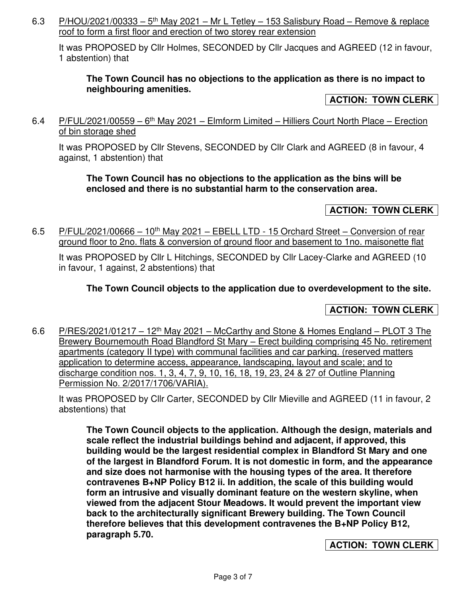6.3 P/HOU/2021/00333 –  $5<sup>th</sup>$  May 2021 – Mr L Tetley – 153 Salisbury Road – Remove & replace roof to form a first floor and erection of two storey rear extension

It was PROPOSED by Cllr Holmes, SECONDED by Cllr Jacques and AGREED (12 in favour, 1 abstention) that

## **The Town Council has no objections to the application as there is no impact to neighbouring amenities.**

### **ACTION: TOWN CLERK**

6.4 P/FUL/2021/00559 –  $6<sup>th</sup>$  May 2021 – Elmform Limited – Hilliers Court North Place – Erection of bin storage shed

It was PROPOSED by Cllr Stevens, SECONDED by Cllr Clark and AGREED (8 in favour, 4 against, 1 abstention) that

### **The Town Council has no objections to the application as the bins will be enclosed and there is no substantial harm to the conservation area.**

# **ACTION: TOWN CLERK**

6.5 P/FUL/2021/00666 – 10<sup>th</sup> May 2021 – EBELL LTD - 15 Orchard Street – Conversion of rear ground floor to 2no. flats & conversion of ground floor and basement to 1no. maisonette flat

It was PROPOSED by Cllr L Hitchings, SECONDED by Cllr Lacey-Clarke and AGREED (10 in favour, 1 against, 2 abstentions) that

## **The Town Council objects to the application due to overdevelopment to the site.**

## **ACTION: TOWN CLERK**

6.6 P/RES/2021/01217 – 12<sup>th</sup> May 2021 – McCarthy and Stone & Homes England – PLOT 3 The Brewery Bournemouth Road Blandford St Mary – Erect building comprising 45 No. retirement apartments (category II type) with communal facilities and car parking. (reserved matters application to determine access, appearance, landscaping, layout and scale; and to discharge condition nos. 1, 3, 4, 7, 9, 10, 16, 18, 19, 23, 24 & 27 of Outline Planning Permission No. 2/2017/1706/VARIA).

It was PROPOSED by Cllr Carter, SECONDED by Cllr Mieville and AGREED (11 in favour, 2 abstentions) that

**The Town Council objects to the application. Although the design, materials and scale reflect the industrial buildings behind and adjacent, if approved, this building would be the largest residential complex in Blandford St Mary and one of the largest in Blandford Forum. It is not domestic in form, and the appearance and size does not harmonise with the housing types of the area. It therefore contravenes B+NP Policy B12 ii. In addition, the scale of this building would form an intrusive and visually dominant feature on the western skyline, when viewed from the adjacent Stour Meadows. It would prevent the important view back to the architecturally significant Brewery building. The Town Council therefore believes that this development contravenes the B+NP Policy B12, paragraph 5.70.** 

#### **ACTION: TOWN CLERK**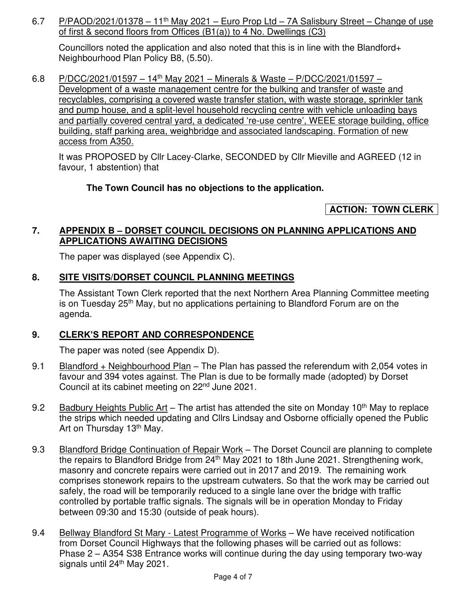6.7 P/PAOD/2021/01378 – 11<sup>th</sup> May 2021 – Euro Prop Ltd – 7A Salisbury Street – Change of use of first & second floors from Offices (B1(a)) to 4 No. Dwellings (C3)

Councillors noted the application and also noted that this is in line with the Blandford+ Neighbourhood Plan Policy B8, (5.50).

6.8 P/DCC/2021/01597 – 14th May 2021 – Minerals & Waste – P/DCC/2021/01597 – Development of a waste management centre for the bulking and transfer of waste and recyclables, comprising a covered waste transfer station, with waste storage, sprinkler tank and pump house, and a split-level household recycling centre with vehicle unloading bays and partially covered central yard, a dedicated 're-use centre', WEEE storage building, office building, staff parking area, weighbridge and associated landscaping. Formation of new access from A350.

It was PROPOSED by Cllr Lacey-Clarke, SECONDED by Cllr Mieville and AGREED (12 in favour, 1 abstention) that

# **The Town Council has no objections to the application.**

# **ACTION: TOWN CLERK**

## **7. APPENDIX B – DORSET COUNCIL DECISIONS ON PLANNING APPLICATIONS AND APPLICATIONS AWAITING DECISIONS**

The paper was displayed (see Appendix C).

# **8. SITE VISITS/DORSET COUNCIL PLANNING MEETINGS**

The Assistant Town Clerk reported that the next Northern Area Planning Committee meeting is on Tuesday 25<sup>th</sup> May, but no applications pertaining to Blandford Forum are on the agenda.

## **9. CLERK'S REPORT AND CORRESPONDENCE**

The paper was noted (see Appendix D).

- 9.1 Blandford + Neighbourhood Plan The Plan has passed the referendum with 2,054 votes in favour and 394 votes against. The Plan is due to be formally made (adopted) by Dorset Council at its cabinet meeting on 22nd June 2021.
- 9.2 Badbury Heights Public Art The artist has attended the site on Monday 10<sup>th</sup> May to replace the strips which needed updating and Cllrs Lindsay and Osborne officially opened the Public Art on Thursday 13<sup>th</sup> May.
- 9.3 Blandford Bridge Continuation of Repair Work The Dorset Council are planning to complete the repairs to Blandford Bridge from 24<sup>th</sup> May 2021 to 18th June 2021. Strengthening work, masonry and concrete repairs were carried out in 2017 and 2019. The remaining work comprises stonework repairs to the upstream cutwaters. So that the work may be carried out safely, the road will be temporarily reduced to a single lane over the bridge with traffic controlled by portable traffic signals. The signals will be in operation Monday to Friday between 09:30 and 15:30 (outside of peak hours).
- 9.4 Bellway Blandford St Mary Latest Programme of Works We have received notification from Dorset Council Highways that the following phases will be carried out as follows: Phase 2 – A354 S38 Entrance works will continue during the day using temporary two-way signals until 24<sup>th</sup> May 2021.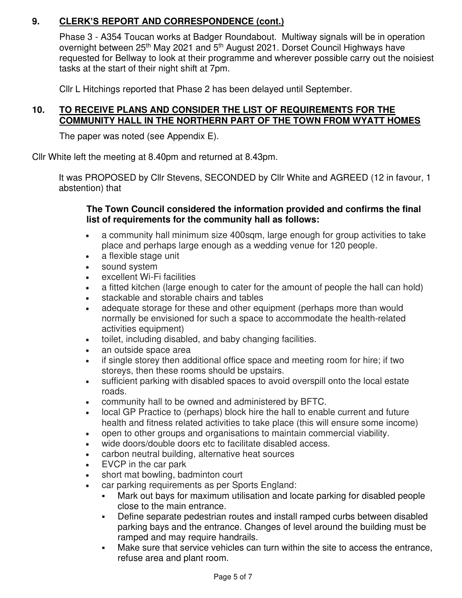# **9. CLERK'S REPORT AND CORRESPONDENCE (cont.)**

Phase 3 - A354 Toucan works at Badger Roundabout. Multiway signals will be in operation overnight between 25<sup>th</sup> May 2021 and 5<sup>th</sup> August 2021. Dorset Council Highways have requested for Bellway to look at their programme and wherever possible carry out the noisiest tasks at the start of their night shift at 7pm.

Cllr L Hitchings reported that Phase 2 has been delayed until September.

## **10. TO RECEIVE PLANS AND CONSIDER THE LIST OF REQUIREMENTS FOR THE COMMUNITY HALL IN THE NORTHERN PART OF THE TOWN FROM WYATT HOMES**

The paper was noted (see Appendix E).

Cllr White left the meeting at 8.40pm and returned at 8.43pm.

It was PROPOSED by Cllr Stevens, SECONDED by Cllr White and AGREED (12 in favour, 1 abstention) that

### **The Town Council considered the information provided and confirms the final list of requirements for the community hall as follows:**

- a community hall minimum size 400sqm, large enough for group activities to take place and perhaps large enough as a wedding venue for 120 people.
- a flexible stage unit
- sound system
- excellent Wi-Fi facilities
- a fitted kitchen (large enough to cater for the amount of people the hall can hold)
- stackable and storable chairs and tables
- adequate storage for these and other equipment (perhaps more than would normally be envisioned for such a space to accommodate the health-related activities equipment)
- toilet, including disabled, and baby changing facilities.
- an outside space area
- if single storey then additional office space and meeting room for hire; if two storeys, then these rooms should be upstairs.
- sufficient parking with disabled spaces to avoid overspill onto the local estate roads.
- community hall to be owned and administered by BFTC.
- local GP Practice to (perhaps) block hire the hall to enable current and future health and fitness related activities to take place (this will ensure some income)
- open to other groups and organisations to maintain commercial viability.
- wide doors/double doors etc to facilitate disabled access.
- carbon neutral building, alternative heat sources
- EVCP in the car park
- short mat bowling, badminton court
- car parking requirements as per Sports England:
	- Mark out bays for maximum utilisation and locate parking for disabled people close to the main entrance.
	- Define separate pedestrian routes and install ramped curbs between disabled parking bays and the entrance. Changes of level around the building must be ramped and may require handrails.
	- Make sure that service vehicles can turn within the site to access the entrance, refuse area and plant room.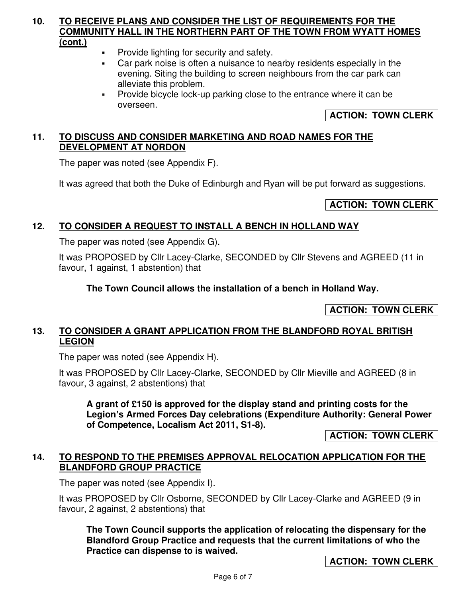#### **10. TO RECEIVE PLANS AND CONSIDER THE LIST OF REQUIREMENTS FOR THE COMMUNITY HALL IN THE NORTHERN PART OF THE TOWN FROM WYATT HOMES (cont.)**

- Provide lighting for security and safety.
- Car park noise is often a nuisance to nearby residents especially in the evening. Siting the building to screen neighbours from the car park can alleviate this problem.
- Provide bicycle lock-up parking close to the entrance where it can be overseen.

# **ACTION: TOWN CLERK**

# **11. TO DISCUSS AND CONSIDER MARKETING AND ROAD NAMES FOR THE DEVELOPMENT AT NORDON**

The paper was noted (see Appendix F).

It was agreed that both the Duke of Edinburgh and Ryan will be put forward as suggestions.

# **ACTION: TOWN CLERK**

## **12. TO CONSIDER A REQUEST TO INSTALL A BENCH IN HOLLAND WAY**

The paper was noted (see Appendix G).

It was PROPOSED by Cllr Lacey-Clarke, SECONDED by Cllr Stevens and AGREED (11 in favour, 1 against, 1 abstention) that

**The Town Council allows the installation of a bench in Holland Way.** 

**ACTION: TOWN CLERK** 

### **13. TO CONSIDER A GRANT APPLICATION FROM THE BLANDFORD ROYAL BRITISH LEGION**

The paper was noted (see Appendix H).

It was PROPOSED by Cllr Lacey-Clarke, SECONDED by Cllr Mieville and AGREED (8 in favour, 3 against, 2 abstentions) that

**A grant of £150 is approved for the display stand and printing costs for the Legion's Armed Forces Day celebrations (Expenditure Authority: General Power of Competence, Localism Act 2011, S1-8).** 

**ACTION: TOWN CLERK** 

## **14. TO RESPOND TO THE PREMISES APPROVAL RELOCATION APPLICATION FOR THE BLANDFORD GROUP PRACTICE**

The paper was noted (see Appendix I).

It was PROPOSED by Cllr Osborne, SECONDED by Cllr Lacey-Clarke and AGREED (9 in favour, 2 against, 2 abstentions) that

**The Town Council supports the application of relocating the dispensary for the Blandford Group Practice and requests that the current limitations of who the Practice can dispense to is waived.** 

**ACTION: TOWN CLERK**